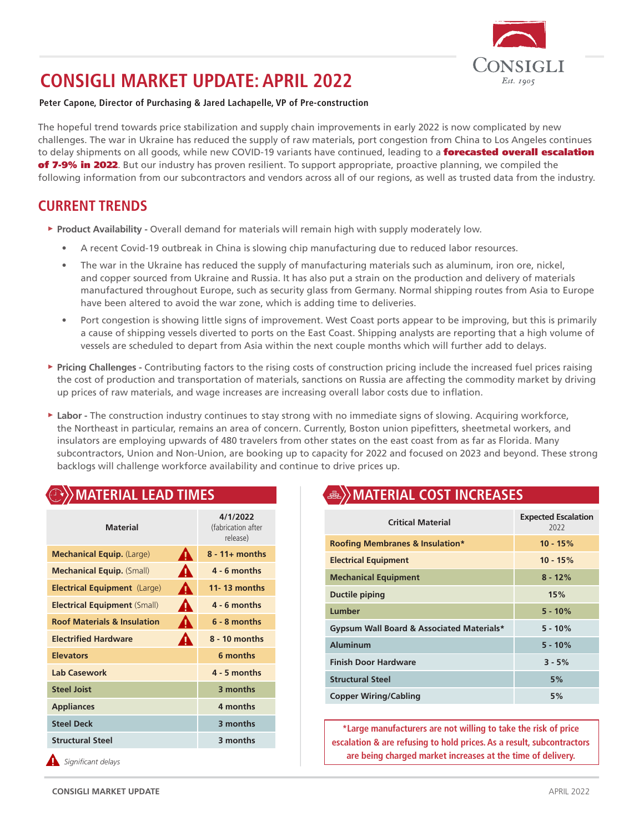

# **CONSIGLI MARKET UPDATE: APRIL 2022**

#### **Peter Capone, Director of Purchasing & Jared Lachapelle, VP of Pre-construction**

The hopeful trend towards price stabilization and supply chain improvements in early 2022 is now complicated by new challenges. The war in Ukraine has reduced the supply of raw materials, port congestion from China to Los Angeles continues to delay shipments on all goods, while new COVID-19 variants have continued, leading to a forecasted overall escalation of 7-9% in 2022. But our industry has proven resilient. To support appropriate, proactive planning, we compiled the following information from our subcontractors and vendors across all of our regions, as well as trusted data from the industry.

## **CURRENT TRENDS**

- ► **Product Availability** Overall demand for materials will remain high with supply moderately low.
	- A recent Covid-19 outbreak in China is slowing chip manufacturing due to reduced labor resources.
	- The war in the Ukraine has reduced the supply of manufacturing materials such as aluminum, iron ore, nickel, and copper sourced from Ukraine and Russia. It has also put a strain on the production and delivery of materials manufactured throughout Europe, such as security glass from Germany. Normal shipping routes from Asia to Europe have been altered to avoid the war zone, which is adding time to deliveries.
	- Port congestion is showing little signs of improvement. West Coast ports appear to be improving, but this is primarily a cause of shipping vessels diverted to ports on the East Coast. Shipping analysts are reporting that a high volume of vessels are scheduled to depart from Asia within the next couple months which will further add to delays.
- ► **Pricing Challenges** Contributing factors to the rising costs of construction pricing include the increased fuel prices raising the cost of production and transportation of materials, sanctions on Russia are affecting the commodity market by driving up prices of raw materials, and wage increases are increasing overall labor costs due to inflation.
- ► **Labor** The construction industry continues to stay strong with no immediate signs of slowing. Acquiring workforce, the Northeast in particular, remains an area of concern. Currently, Boston union pipefitters, sheetmetal workers, and insulators are employing upwards of 480 travelers from other states on the east coast from as far as Florida. Many subcontractors, Union and Non-Union, are booking up to capacity for 2022 and focused on 2023 and beyond. These strong backlogs will challenge workforce availability and continue to drive prices up.

### **MATERIAL LEAD TIMES Material 4/1/2022** (fabrication after release) **Mechanical Equip.** (Large) **18 - 11+ months Mechanical Equip.** (Small) **4 - 6 months Electrical Equipment** (Large) **11- 13 months Electrical Equipment (Small)** 4 - 6 months **Roof Materials & Insulation 4. 6 - 8 months Electrified Hardware 8 - 10 months Elevators 6 months Lab Casework 4 - 5 months Steel Joist 3 months Appliances 4 months Steel Deck 3 months Structural Steel 3 months** *Significant delays*

## **MATERIAL COST INCREASES**

| <b>Critical Material</b>                   | <b>Expected Escalation</b><br>2022 |
|--------------------------------------------|------------------------------------|
| <b>Roofing Membranes &amp; Insulation*</b> | $10 - 15%$                         |
| <b>Electrical Equipment</b>                | $10 - 15%$                         |
| <b>Mechanical Equipment</b>                | $8 - 12%$                          |
| <b>Ductile piping</b>                      | 15%                                |
| Lumber                                     | $5 - 10%$                          |
| Gypsum Wall Board & Associated Materials*  | $5 - 10%$                          |
| <b>Aluminum</b>                            | $5 - 10%$                          |
| <b>Finish Door Hardware</b>                | $3 - 5%$                           |
| <b>Structural Steel</b>                    | 5%                                 |
| <b>Copper Wiring/Cabling</b>               | 5%                                 |

**\*Large manufacturers are not willing to take the risk of price escalation & are refusing to hold prices. As a result, subcontractors are being charged market increases at the time of delivery.**